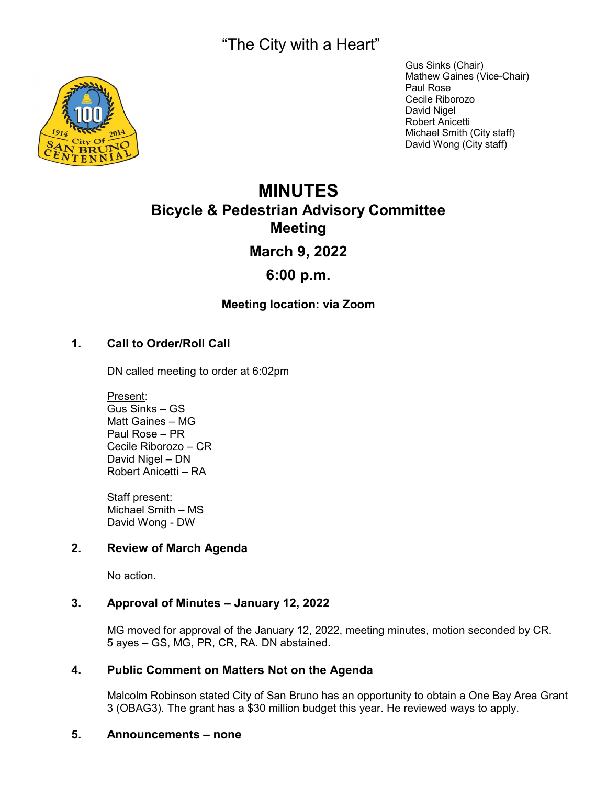"The City with a Heart"



Gus Sinks (Chair) Mathew Gaines (Vice-Chair) Paul Rose Cecile Riborozo David Nigel Robert Anicetti Michael Smith (City staff) David Wong (City staff)

# **MINUTES Bicycle & Pedestrian Advisory Committee Meeting March 9, 2022**

# **6:00 p.m.**

# **Meeting location: via Zoom**

# **1. Call to Order/Roll Call**

DN called meeting to order at 6:02pm

Present: Gus Sinks – GS Matt Gaines – MG Paul Rose – PR Cecile Riborozo – CR David Nigel – DN Robert Anicetti – RA

Staff present: Michael Smith – MS David Wong - DW

# **2. Review of March Agenda**

No action.

#### **3. Approval of Minutes – January 12, 2022**

MG moved for approval of the January 12, 2022, meeting minutes, motion seconded by CR. 5 ayes – GS, MG, PR, CR, RA. DN abstained.

#### **4. Public Comment on Matters Not on the Agenda**

Malcolm Robinson stated City of San Bruno has an opportunity to obtain a One Bay Area Grant 3 (OBAG3). The grant has a \$30 million budget this year. He reviewed ways to apply.

#### **5. Announcements – none**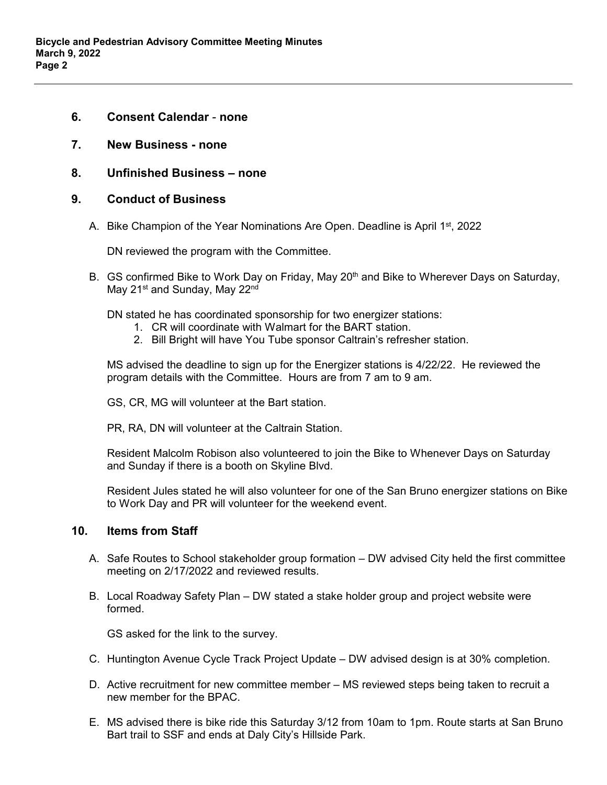- **6. Consent Calendar none**
- **7. New Business none**
- **8. Unfinished Business none**

#### **9. Conduct of Business**

A. Bike Champion of the Year Nominations Are Open. Deadline is April 1<sup>st</sup>, 2022

DN reviewed the program with the Committee.

B. GS confirmed Bike to Work Day on Friday, May 20<sup>th</sup> and Bike to Wherever Days on Saturday, May 21<sup>st</sup> and Sunday, May 22<sup>nd</sup>

DN stated he has coordinated sponsorship for two energizer stations:

- 1. CR will coordinate with Walmart for the BART station.
- 2. Bill Bright will have You Tube sponsor Caltrain's refresher station.

MS advised the deadline to sign up for the Energizer stations is 4/22/22. He reviewed the program details with the Committee. Hours are from 7 am to 9 am.

GS, CR, MG will volunteer at the Bart station.

PR, RA, DN will volunteer at the Caltrain Station.

Resident Malcolm Robison also volunteered to join the Bike to Whenever Days on Saturday and Sunday if there is a booth on Skyline Blvd.

Resident Jules stated he will also volunteer for one of the San Bruno energizer stations on Bike to Work Day and PR will volunteer for the weekend event.

#### **10. Items from Staff**

- A. Safe Routes to School stakeholder group formation DW advised City held the first committee meeting on 2/17/2022 and reviewed results.
- B. Local Roadway Safety Plan DW stated a stake holder group and project website were formed.

GS asked for the link to the survey.

- C. Huntington Avenue Cycle Track Project Update DW advised design is at 30% completion.
- D. Active recruitment for new committee member MS reviewed steps being taken to recruit a new member for the BPAC.
- E. MS advised there is bike ride this Saturday 3/12 from 10am to 1pm. Route starts at San Bruno Bart trail to SSF and ends at Daly City's Hillside Park.